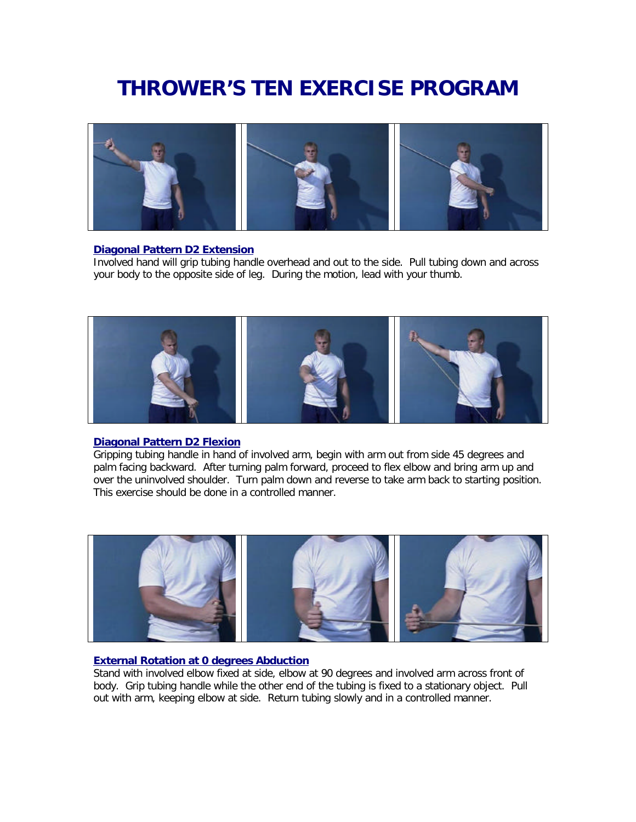# **THROWER'S TEN EXERCISE PROGRAM**



#### **Diagonal Pattern D2 Extension**

Involved hand will grip tubing handle overhead and out to the side. Pull tubing down and across your body to the opposite side of leg. During the motion, lead with your thumb.



#### **Diagonal Pattern D2 Flexion**

Gripping tubing handle in hand of involved arm, begin with arm out from side 45 degrees and palm facing backward. After turning palm forward, proceed to flex elbow and bring arm up and over the uninvolved shoulder. Turn palm down and reverse to take arm back to starting position. This exercise should be done in a controlled manner.



#### **External Rotation at 0 degrees Abduction**

Stand with involved elbow fixed at side, elbow at 90 degrees and involved arm across front of body. Grip tubing handle while the other end of the tubing is fixed to a stationary object. Pull out with arm, keeping elbow at side. Return tubing slowly and in a controlled manner.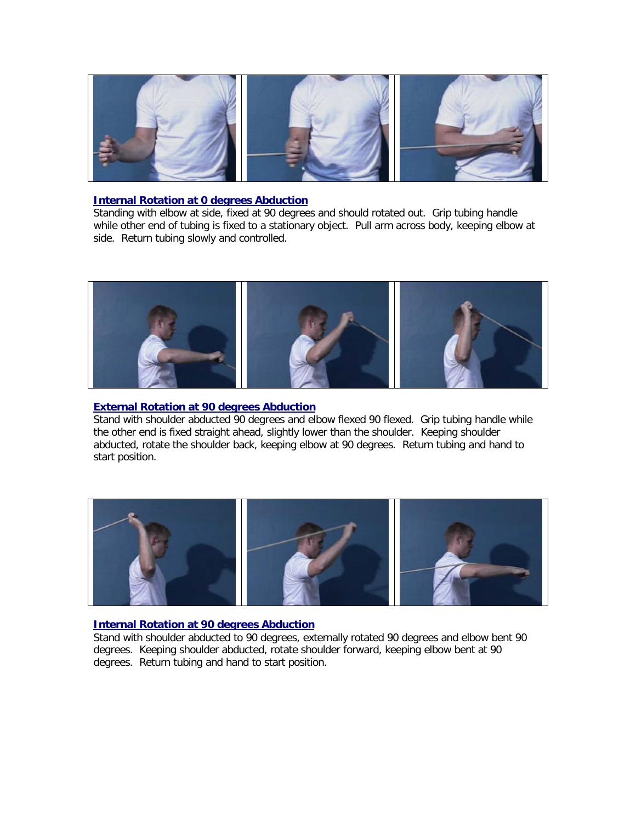

#### **Internal Rotation at 0 degrees Abduction**

Standing with elbow at side, fixed at 90 degrees and should rotated out. Grip tubing handle while other end of tubing is fixed to a stationary object. Pull arm across body, keeping elbow at side. Return tubing slowly and controlled.



## **External Rotation at 90 degrees Abduction**

Stand with shoulder abducted 90 degrees and elbow flexed 90 flexed. Grip tubing handle while the other end is fixed straight ahead, slightly lower than the shoulder. Keeping shoulder abducted, rotate the shoulder back, keeping elbow at 90 degrees. Return tubing and hand to start position.



## **Internal Rotation at 90 degrees Abduction**

Stand with shoulder abducted to 90 degrees, externally rotated 90 degrees and elbow bent 90 degrees. Keeping shoulder abducted, rotate shoulder forward, keeping elbow bent at 90 degrees. Return tubing and hand to start position.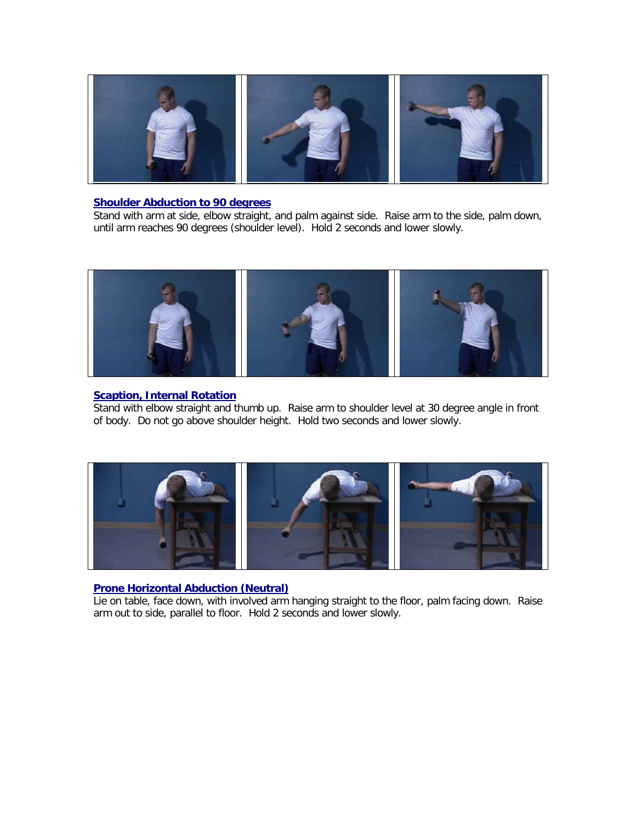

#### **Shoulder Abduction to 90 degrees**

Stand with arm at side, elbow straight, and palm against side. Raise arm to the side, palm down, until arm reaches 90 degrees (shoulder level). Hold 2 seconds and lower slowly.



## **Scaption, Internal Rotation**

Stand with elbow straight and thumb up. Raise arm to shoulder level at 30 degree angle in front of body. Do not go above shoulder height. Hold two seconds and lower slowly.



## **Prone Horizontal Abduction (Neutral)**

Lie on table, face down, with involved arm hanging straight to the floor, palm facing down. Raise arm out to side, parallel to floor. Hold 2 seconds and lower slowly.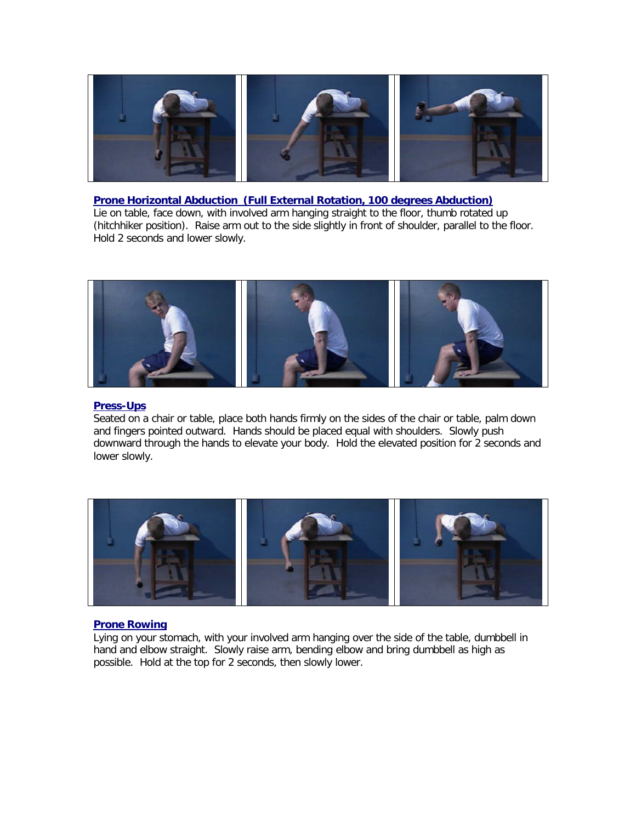

#### **Prone Horizontal Abduction (Full External Rotation, 100 degrees Abduction)**

Lie on table, face down, with involved arm hanging straight to the floor, thumb rotated up (hitchhiker position). Raise arm out to the side slightly in front of shoulder, parallel to the floor. Hold 2 seconds and lower slowly.



#### **Press-Ups**

Seated on a chair or table, place both hands firmly on the sides of the chair or table, palm down and fingers pointed outward. Hands should be placed equal with shoulders. Slowly push downward through the hands to elevate your body. Hold the elevated position for 2 seconds and lower slowly.



#### **Prone Rowing**

Lying on your stomach, with your involved arm hanging over the side of the table, dumbbell in hand and elbow straight. Slowly raise arm, bending elbow and bring dumbbell as high as possible. Hold at the top for 2 seconds, then slowly lower.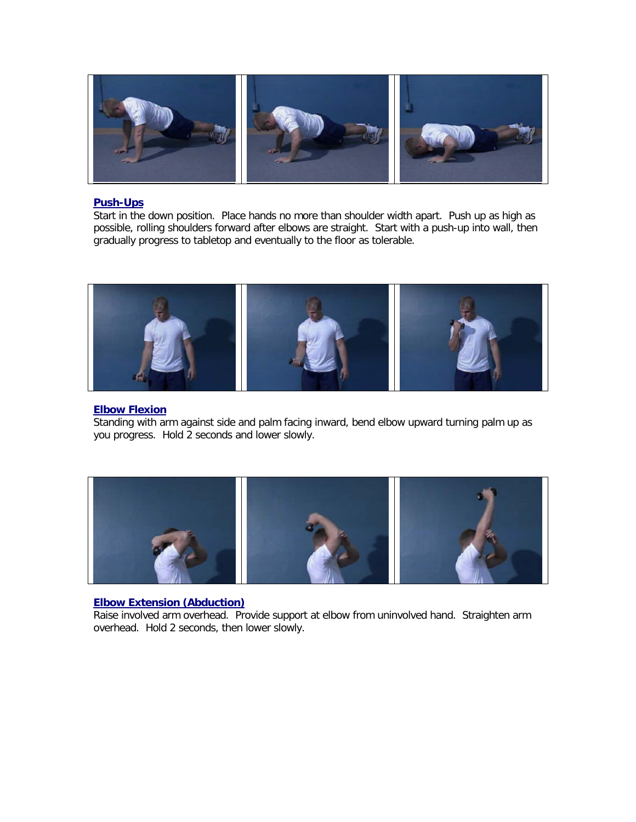

#### **Push-Ups**

Start in the down position. Place hands no more than shoulder width apart. Push up as high as possible, rolling shoulders forward after elbows are straight. Start with a push-up into wall, then gradually progress to tabletop and eventually to the floor as tolerable.



#### **Elbow Flexion**

Standing with arm against side and palm facing inward, bend elbow upward turning palm up as you progress. Hold 2 seconds and lower slowly.



#### **Elbow Extension (Abduction)**

Raise involved arm overhead. Provide support at elbow from uninvolved hand. Straighten arm overhead. Hold 2 seconds, then lower slowly.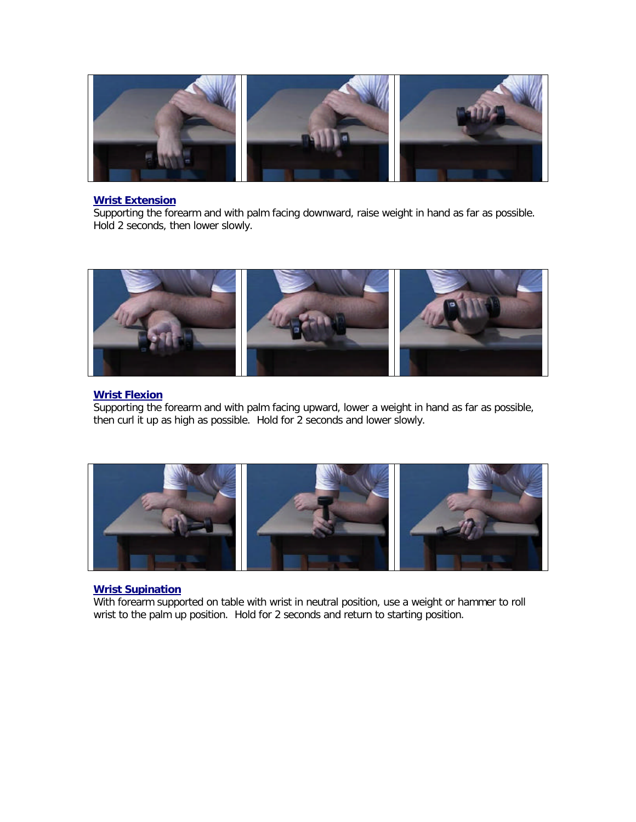

#### **Wrist Extension**

Supporting the forearm and with palm facing downward, raise weight in hand as far as possible. Hold 2 seconds, then lower slowly.



## **Wrist Flexion**

Supporting the forearm and with palm facing upward, lower a weight in hand as far as possible, then curl it up as high as possible. Hold for 2 seconds and lower slowly.



## **Wrist Supination**

With forearm supported on table with wrist in neutral position, use a weight or hammer to roll wrist to the palm up position. Hold for 2 seconds and return to starting position.